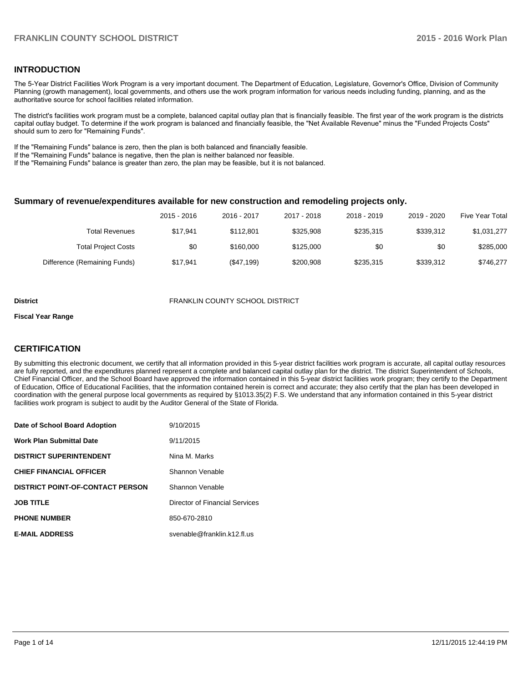### **INTRODUCTION**

The 5-Year District Facilities Work Program is a very important document. The Department of Education, Legislature, Governor's Office, Division of Community Planning (growth management), local governments, and others use the work program information for various needs including funding, planning, and as the authoritative source for school facilities related information.

The district's facilities work program must be a complete, balanced capital outlay plan that is financially feasible. The first year of the work program is the districts capital outlay budget. To determine if the work program is balanced and financially feasible, the "Net Available Revenue" minus the "Funded Projects Costs" should sum to zero for "Remaining Funds".

If the "Remaining Funds" balance is zero, then the plan is both balanced and financially feasible.

If the "Remaining Funds" balance is negative, then the plan is neither balanced nor feasible.

If the "Remaining Funds" balance is greater than zero, the plan may be feasible, but it is not balanced.

#### **Summary of revenue/expenditures available for new construction and remodeling projects only.**

| Five Year Total | 2019 - 2020 | 2018 - 2019 | 2017 - 2018 | 2016 - 2017 | 2015 - 2016 |                              |
|-----------------|-------------|-------------|-------------|-------------|-------------|------------------------------|
| \$1,031,277     | \$339.312   | \$235.315   | \$325,908   | \$112,801   | \$17.941    | Total Revenues               |
| \$285,000       | \$0         | \$0         | \$125,000   | \$160,000   | \$0         | <b>Total Project Costs</b>   |
| \$746.277       | \$339,312   | \$235,315   | \$200,908   | (\$47,199)  | \$17.941    | Difference (Remaining Funds) |

#### **District** FRANKLIN COUNTY SCHOOL DISTRICT

#### **Fiscal Year Range**

# **CERTIFICATION**

By submitting this electronic document, we certify that all information provided in this 5-year district facilities work program is accurate, all capital outlay resources are fully reported, and the expenditures planned represent a complete and balanced capital outlay plan for the district. The district Superintendent of Schools, Chief Financial Officer, and the School Board have approved the information contained in this 5-year district facilities work program; they certify to the Department of Education, Office of Educational Facilities, that the information contained herein is correct and accurate; they also certify that the plan has been developed in coordination with the general purpose local governments as required by §1013.35(2) F.S. We understand that any information contained in this 5-year district facilities work program is subject to audit by the Auditor General of the State of Florida.

| Date of School Board Adoption           | 9/10/2015                      |
|-----------------------------------------|--------------------------------|
| <b>Work Plan Submittal Date</b>         | 9/11/2015                      |
| <b>DISTRICT SUPERINTENDENT</b>          | Nina M. Marks                  |
| <b>CHIEF FINANCIAL OFFICER</b>          | Shannon Venable                |
| <b>DISTRICT POINT-OF-CONTACT PERSON</b> | Shannon Venable                |
| <b>JOB TITLE</b>                        | Director of Financial Services |
| <b>PHONE NUMBER</b>                     | 850-670-2810                   |
| <b>E-MAIL ADDRESS</b>                   | svenable@franklin.k12.fl.us    |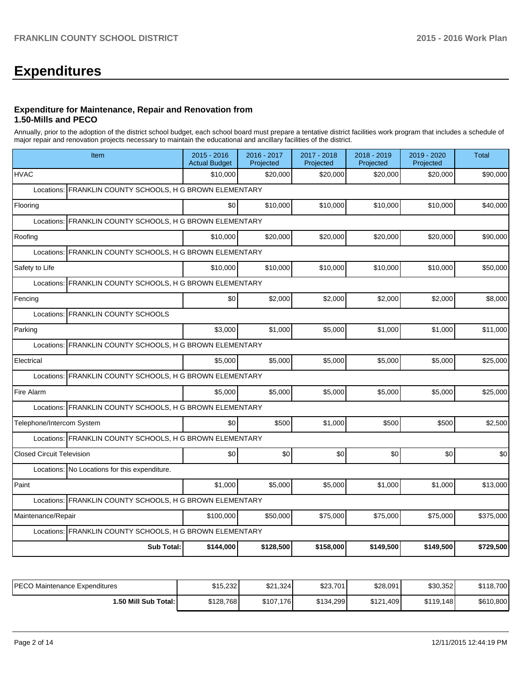# **Expenditures**

#### **Expenditure for Maintenance, Repair and Renovation from 1.50-Mills and PECO**

Annually, prior to the adoption of the district school budget, each school board must prepare a tentative district facilities work program that includes a schedule of major repair and renovation projects necessary to maintain the educational and ancillary facilities of the district.

| Item                                                        | $2015 - 2016$<br><b>Actual Budget</b> | 2016 - 2017<br>Projected | 2017 - 2018<br>Projected | 2018 - 2019<br>Projected | 2019 - 2020<br>Projected | <b>Total</b> |
|-------------------------------------------------------------|---------------------------------------|--------------------------|--------------------------|--------------------------|--------------------------|--------------|
| <b>HVAC</b>                                                 | \$10,000                              | \$20,000                 | \$20,000                 | \$20,000                 | \$20,000                 | \$90,000     |
| FRANKLIN COUNTY SCHOOLS, H G BROWN ELEMENTARY<br>Locations: |                                       |                          |                          |                          |                          |              |
| Flooring                                                    | \$0                                   | \$10,000                 | \$10,000                 | \$10,000                 | \$10,000                 | \$40,000     |
| FRANKLIN COUNTY SCHOOLS, H G BROWN ELEMENTARY<br>Locations: |                                       |                          |                          |                          |                          |              |
| Roofing                                                     | \$10,000                              | \$20,000                 | \$20,000                 | \$20,000                 | \$20,000                 | \$90,000     |
| FRANKLIN COUNTY SCHOOLS, H G BROWN ELEMENTARY<br>Locations: |                                       |                          |                          |                          |                          |              |
| Safety to Life                                              | \$10,000                              | \$10,000                 | \$10,000                 | \$10,000                 | \$10,000                 | \$50,000     |
| FRANKLIN COUNTY SCHOOLS, H G BROWN ELEMENTARY<br>Locations  |                                       |                          |                          |                          |                          |              |
| Fencing                                                     | \$0                                   | \$2,000                  | \$2,000                  | \$2,000                  | \$2,000                  | \$8,000      |
| Locations: FRANKLIN COUNTY SCHOOLS                          |                                       |                          |                          |                          |                          |              |
| Parking                                                     | \$3,000                               | \$1,000                  | \$5,000                  | \$1,000                  | \$1,000                  | \$11,000     |
| Locations: FRANKLIN COUNTY SCHOOLS, H G BROWN ELEMENTARY    |                                       |                          |                          |                          |                          |              |
| Electrical                                                  | \$5,000                               | \$5,000                  | \$5,000                  | \$5,000                  | \$5,000                  | \$25,000     |
| FRANKLIN COUNTY SCHOOLS, H G BROWN ELEMENTARY<br>Locations: |                                       |                          |                          |                          |                          |              |
| Fire Alarm                                                  | \$5,000                               | \$5,000                  | \$5,000                  | \$5,000                  | \$5,000                  | \$25,000     |
| Locations: FRANKLIN COUNTY SCHOOLS, H G BROWN ELEMENTARY    |                                       |                          |                          |                          |                          |              |
| Telephone/Intercom System                                   | \$0                                   | \$500                    | \$1,000                  | \$500                    | \$500                    | \$2,500      |
| Locations: FRANKLIN COUNTY SCHOOLS, H G BROWN ELEMENTARY    |                                       |                          |                          |                          |                          |              |
| <b>Closed Circuit Television</b>                            | \$0                                   | \$0                      | \$0                      | \$0                      | \$0                      | \$0          |
| Locations: No Locations for this expenditure.               |                                       |                          |                          |                          |                          |              |
| Paint                                                       | \$1,000                               | \$5,000                  | \$5,000                  | \$1,000                  | \$1,000                  | \$13,000     |
| Locations: FRANKLIN COUNTY SCHOOLS, H G BROWN ELEMENTARY    |                                       |                          |                          |                          |                          |              |
| Maintenance/Repair                                          | \$100,000                             | \$50,000                 | \$75,000                 | \$75,000                 | \$75,000                 | \$375,000    |
| Locations: FRANKLIN COUNTY SCHOOLS, H G BROWN ELEMENTARY    |                                       |                          |                          |                          |                          |              |
| <b>Sub Total:</b>                                           | \$144,000                             | \$128,500                | \$158,000                | \$149,500                | \$149,500                | \$729,500    |

| IPECO Maintenance Expenditures | \$15,232  | \$21.324  | \$23,701  | \$28,091       | \$30,352  | \$118,700 |
|--------------------------------|-----------|-----------|-----------|----------------|-----------|-----------|
| 1.50 Mill Sub Total: I         | \$128,768 | \$107,176 | \$134,299 | \$121<br> 409. | \$119.148 | \$610,800 |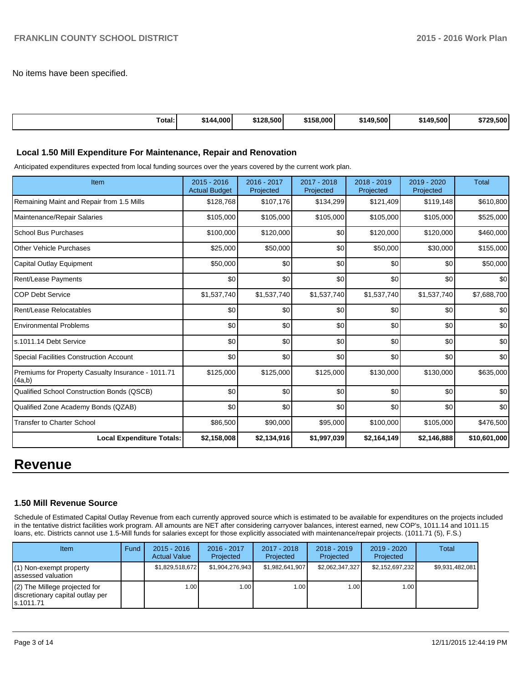No items have been specified.

| Гоtаl: | 4.000<br>\$144 | \$128,500 | \$158,000 | \$149,500 | \$149,500 | \$729.500 |
|--------|----------------|-----------|-----------|-----------|-----------|-----------|

#### **Local 1.50 Mill Expenditure For Maintenance, Repair and Renovation**

Anticipated expenditures expected from local funding sources over the years covered by the current work plan.

| Item                                                         | 2015 - 2016<br><b>Actual Budget</b> | 2016 - 2017<br>Projected | 2017 - 2018<br>Projected | 2018 - 2019<br>Projected | 2019 - 2020<br>Projected | <b>Total</b> |
|--------------------------------------------------------------|-------------------------------------|--------------------------|--------------------------|--------------------------|--------------------------|--------------|
| Remaining Maint and Repair from 1.5 Mills                    | \$128,768                           | \$107,176                | \$134,299                | \$121,409                | \$119,148                | \$610,800    |
| Maintenance/Repair Salaries                                  | \$105,000                           | \$105,000                | \$105,000                | \$105,000                | \$105,000                | \$525,000    |
| School Bus Purchases                                         | \$100,000                           | \$120,000                | \$0                      | \$120,000                | \$120,000                | \$460,000    |
| <b>Other Vehicle Purchases</b>                               | \$25,000                            | \$50,000                 | \$0                      | \$50,000                 | \$30,000                 | \$155,000    |
| Capital Outlay Equipment                                     | \$50,000                            | \$0                      | \$0                      | \$0                      | \$0                      | \$50,000     |
| <b>Rent/Lease Payments</b>                                   | \$0                                 | \$0                      | \$0                      | \$0                      | \$0                      | \$0          |
| <b>COP Debt Service</b>                                      | \$1,537,740                         | \$1,537,740              | \$1,537,740              | \$1,537,740              | \$1,537,740              | \$7,688,700  |
| Rent/Lease Relocatables                                      | \$0                                 | \$0                      | \$0                      | \$0                      | \$0                      | \$0          |
| <b>Environmental Problems</b>                                | \$0                                 | \$0                      | \$0                      | \$0                      | \$0                      | \$0          |
| ls.1011.14 Debt Service                                      | \$0                                 | \$0                      | \$0                      | \$0                      | \$0                      | \$0          |
| <b>Special Facilities Construction Account</b>               | \$0                                 | \$0                      | \$0                      | \$0                      | \$0                      | \$0          |
| Premiums for Property Casualty Insurance - 1011.71<br>(4a,b) | \$125,000                           | \$125,000                | \$125,000                | \$130,000                | \$130,000                | \$635,000    |
| Qualified School Construction Bonds (QSCB)                   | \$0                                 | \$0                      | \$0                      | \$0                      | \$0                      | \$0          |
| Qualified Zone Academy Bonds (QZAB)                          | \$0                                 | \$0                      | \$0                      | \$0                      | \$0                      | \$0          |
| <b>Transfer to Charter School</b>                            | \$86,500                            | \$90,000                 | \$95,000                 | \$100,000                | \$105,000                | \$476,500    |
| <b>Local Expenditure Totals:</b>                             | \$2,158,008                         | \$2,134,916              | \$1,997,039              | \$2,164,149              | \$2,146,888              | \$10,601,000 |

# **Revenue**

#### **1.50 Mill Revenue Source**

Schedule of Estimated Capital Outlay Revenue from each currently approved source which is estimated to be available for expenditures on the projects included in the tentative district facilities work program. All amounts are NET after considering carryover balances, interest earned, new COP's, 1011.14 and 1011.15 loans, etc. Districts cannot use 1.5-Mill funds for salaries except for those explicitly associated with maintenance/repair projects. (1011.71 (5), F.S.)

| Item                                                                              | Fund | $2015 - 2016$<br><b>Actual Value</b> | $2016 - 2017$<br>Projected | 2017 - 2018<br>Projected | $2018 - 2019$<br>Projected | $2019 - 2020$<br>Projected | Total           |
|-----------------------------------------------------------------------------------|------|--------------------------------------|----------------------------|--------------------------|----------------------------|----------------------------|-----------------|
| $(1)$ Non-exempt property<br>lassessed valuation                                  |      | \$1,829,518,672                      | \$1.904.276.943            | \$1.982.641.907          | \$2,062,347,327            | \$2,152,697,232            | \$9,931,482,081 |
| $(2)$ The Millege projected for<br>discretionary capital outlay per<br>ls.1011.71 |      | 1.00                                 | 1.00 I                     | 1.00 <sub>l</sub>        | 1.00                       | 1.00 l                     |                 |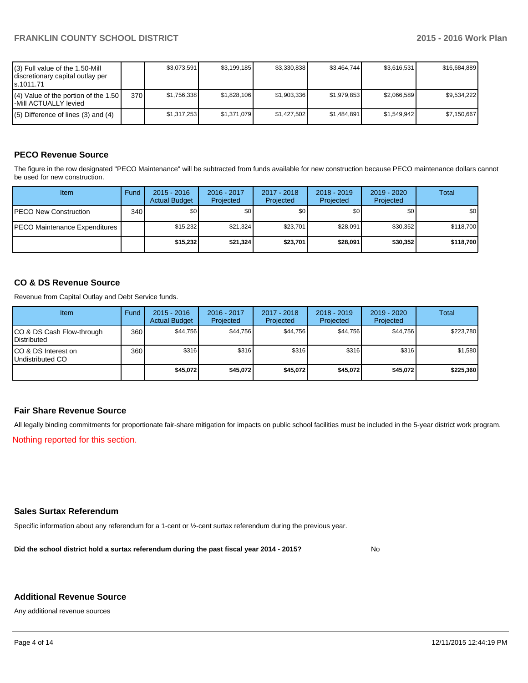| (3) Full value of the 1.50-Mill<br>discretionary capital outlay per<br>ls.1011.71 |     | \$3.073.591 | \$3,199,185 | \$3,330,838 | \$3,464,744 | \$3.616.531 | \$16,684,889 |
|-----------------------------------------------------------------------------------|-----|-------------|-------------|-------------|-------------|-------------|--------------|
| $(4)$ Value of the portion of the 1.50<br>l-Mill ACTUALLY levied                  | 370 | \$1,756,338 | \$1,828,106 | \$1,903,336 | \$1,979,853 | \$2,066,589 | \$9.534.222  |
| $(5)$ Difference of lines (3) and (4)                                             |     | \$1,317,253 | \$1.371.079 | \$1.427.502 | \$1.484.891 | \$1.549.942 | \$7.150.667  |

# **PECO Revenue Source**

The figure in the row designated "PECO Maintenance" will be subtracted from funds available for new construction because PECO maintenance dollars cannot be used for new construction.

| Item                                  | Fund             | $2015 - 2016$<br><b>Actual Budget</b> | 2016 - 2017<br>Projected | 2017 - 2018<br>Projected | $2018 - 2019$<br>Projected | $2019 - 2020$<br>Projected | Total     |
|---------------------------------------|------------------|---------------------------------------|--------------------------|--------------------------|----------------------------|----------------------------|-----------|
| <b>IPECO New Construction</b>         | 340 <sup>l</sup> | \$0 <sub>1</sub>                      | \$0                      | \$0 <sub>1</sub>         | \$0 <sub>0</sub>           | \$0                        | \$0       |
| <b>IPECO Maintenance Expenditures</b> |                  | \$15.232                              | \$21.324                 | \$23.701                 | \$28.091                   | \$30.352                   | \$118.700 |
|                                       |                  | \$15,232                              | \$21,324                 | \$23,701                 | \$28,091                   | \$30,352                   | \$118,700 |

# **CO & DS Revenue Source**

Revenue from Capital Outlay and Debt Service funds.

| Item                                               | Fund             | $2015 - 2016$<br><b>Actual Budget</b> | 2016 - 2017<br>Projected | 2017 - 2018<br>Projected | $2018 - 2019$<br>Projected | 2019 - 2020<br>Projected | Total     |
|----------------------------------------------------|------------------|---------------------------------------|--------------------------|--------------------------|----------------------------|--------------------------|-----------|
| ICO & DS Cash Flow-through<br><b>I</b> Distributed | 360 <sup>I</sup> | \$44.756                              | \$44,756                 | \$44.756                 | \$44.756                   | \$44,756                 | \$223,780 |
| ICO & DS Interest on<br>Undistributed CO           | 360              | \$316                                 | \$316                    | \$316                    | \$316                      | \$316                    | \$1,580   |
|                                                    |                  | \$45,072                              | \$45.072                 | \$45,072                 | \$45.072                   | \$45.072                 | \$225,360 |

# **Fair Share Revenue Source**

All legally binding commitments for proportionate fair-share mitigation for impacts on public school facilities must be included in the 5-year district work program.

Nothing reported for this section.

## **Sales Surtax Referendum**

Specific information about any referendum for a 1-cent or ½-cent surtax referendum during the previous year.

**Did the school district hold a surtax referendum during the past fiscal year 2014 - 2015?**

No

#### **Additional Revenue Source**

Any additional revenue sources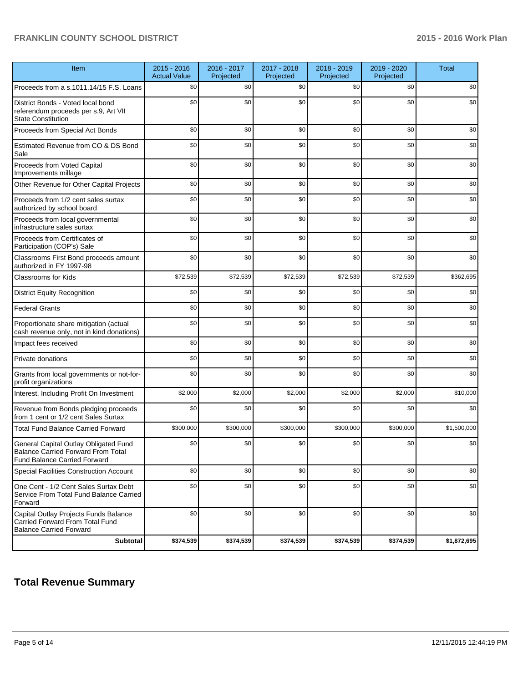# **FRANKLIN COUNTY SCHOOL DISTRICT 2015 - 2016 Work Plan**

| Item                                                                                                                      | 2015 - 2016<br><b>Actual Value</b> | 2016 - 2017<br>Projected | 2017 - 2018<br>Projected | 2018 - 2019<br>Projected | 2019 - 2020<br>Projected | <b>Total</b> |
|---------------------------------------------------------------------------------------------------------------------------|------------------------------------|--------------------------|--------------------------|--------------------------|--------------------------|--------------|
| Proceeds from a s.1011.14/15 F.S. Loans                                                                                   | \$0                                | \$0                      | \$0                      | \$0                      | \$0                      | \$0          |
| District Bonds - Voted local bond<br>referendum proceeds per s.9, Art VII<br><b>State Constitution</b>                    | \$0                                | \$0                      | \$0                      | \$0                      | \$0                      | \$0          |
| Proceeds from Special Act Bonds                                                                                           | \$0                                | \$0                      | \$0                      | \$0                      | \$0                      | \$0          |
| Estimated Revenue from CO & DS Bond<br>Sale                                                                               | \$0                                | \$0                      | \$0                      | \$0                      | \$0                      | \$0          |
| Proceeds from Voted Capital<br>Improvements millage                                                                       | \$0                                | \$0                      | \$0                      | \$0                      | \$0                      | \$0          |
| Other Revenue for Other Capital Projects                                                                                  | \$0                                | \$0                      | \$0                      | \$0                      | \$0                      | \$0          |
| Proceeds from 1/2 cent sales surtax<br>authorized by school board                                                         | \$0                                | \$0                      | \$0                      | \$0                      | \$0                      | \$0          |
| Proceeds from local governmental<br>infrastructure sales surtax                                                           | \$0                                | \$0                      | \$0                      | \$0                      | \$0                      | \$0          |
| Proceeds from Certificates of<br>Participation (COP's) Sale                                                               | \$0                                | \$0                      | \$0                      | \$0                      | \$0                      | \$0          |
| Classrooms First Bond proceeds amount<br>authorized in FY 1997-98                                                         | \$0                                | \$0                      | \$0                      | \$0                      | \$0                      | \$0          |
| <b>Classrooms for Kids</b>                                                                                                | \$72,539                           | \$72,539                 | \$72,539                 | \$72,539                 | \$72,539                 | \$362,695    |
| <b>District Equity Recognition</b>                                                                                        | \$0                                | \$0                      | \$0                      | \$0                      | \$0                      | \$0          |
| <b>Federal Grants</b>                                                                                                     | \$0                                | \$0                      | \$0                      | \$0                      | \$0                      | \$0          |
| Proportionate share mitigation (actual<br>cash revenue only, not in kind donations)                                       | \$0                                | \$0                      | \$0                      | \$0                      | \$0                      | \$0          |
| Impact fees received                                                                                                      | \$0                                | \$0                      | \$0                      | \$0                      | \$0                      | \$0          |
| Private donations                                                                                                         | \$0                                | \$0                      | \$0                      | \$0                      | \$0                      | \$0          |
| Grants from local governments or not-for-<br>profit organizations                                                         | \$0                                | \$0                      | \$0                      | \$0                      | \$0                      | \$0          |
| Interest, Including Profit On Investment                                                                                  | \$2,000                            | \$2,000                  | \$2,000                  | \$2,000                  | \$2,000                  | \$10,000     |
| Revenue from Bonds pledging proceeds<br>from 1 cent or 1/2 cent Sales Surtax                                              | \$0                                | \$0                      | \$0                      | \$0                      | \$0                      | \$0          |
| <b>Total Fund Balance Carried Forward</b>                                                                                 | \$300,000                          | \$300,000                | \$300,000                | \$300,000                | \$300,000                | \$1,500,000  |
| General Capital Outlay Obligated Fund<br><b>Balance Carried Forward From Total</b><br><b>Fund Balance Carried Forward</b> | \$0                                | \$0                      | \$0                      | \$0                      | \$0                      | \$0          |
| Special Facilities Construction Account                                                                                   | \$0                                | \$0                      | \$0                      | \$0                      | \$0                      | \$0          |
| One Cent - 1/2 Cent Sales Surtax Debt<br>Service From Total Fund Balance Carried<br>Forward                               | \$0                                | \$0                      | \$0                      | \$0                      | \$0                      | \$0          |
| Capital Outlay Projects Funds Balance<br>Carried Forward From Total Fund<br><b>Balance Carried Forward</b>                | \$0                                | \$0                      | \$0                      | \$0                      | \$0                      | \$0          |
| <b>Subtotal</b>                                                                                                           | \$374,539                          | \$374,539                | \$374,539                | \$374,539                | \$374,539                | \$1,872,695  |

# **Total Revenue Summary**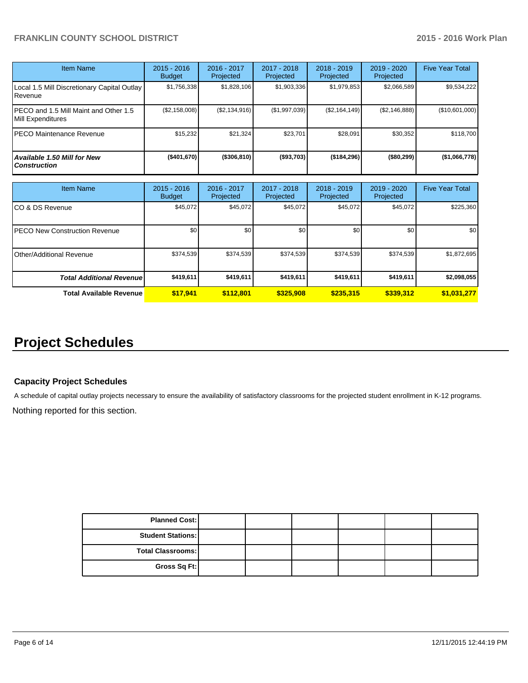# **FRANKLIN COUNTY SCHOOL DISTRICT 2015 - 2016 Work Plan**

| <b>Item Name</b>                                           | 2015 - 2016<br><b>Budget</b> | $2016 - 2017$<br>Projected | $2017 - 2018$<br>Projected | $2018 - 2019$<br>Projected | $2019 - 2020$<br>Projected | <b>Five Year Total</b> |
|------------------------------------------------------------|------------------------------|----------------------------|----------------------------|----------------------------|----------------------------|------------------------|
| Local 1.5 Mill Discretionary Capital Outlay<br>.Revenue    | \$1,756,338                  | \$1,828,106                | \$1,903,336                | \$1,979,853                | \$2,066,589                | \$9,534,222            |
| PECO and 1.5 Mill Maint and Other 1.5<br>Mill Expenditures | (S2, 158, 008)               | (S2, 134, 916)             | (\$1,997,039)              | (S2, 164, 149)             | (S2, 146, 888)             | (\$10,601,000)         |
| <b>PECO Maintenance Revenue</b>                            | \$15,232                     | \$21.324                   | \$23.701                   | \$28,091                   | \$30.352                   | \$118,700              |
| Available 1.50 Mill for New<br><b>Construction</b>         | (\$401,670)                  | (\$306, 810)               | ( \$93,703)                | (\$184,296)                | ( \$80, 299)               | (\$1,066,778)          |

| Item Name                        | $2015 - 2016$<br><b>Budget</b> | $2016 - 2017$<br>Projected | $2017 - 2018$<br>Projected | $2018 - 2019$<br>Projected | $2019 - 2020$<br>Projected | <b>Five Year Total</b> |
|----------------------------------|--------------------------------|----------------------------|----------------------------|----------------------------|----------------------------|------------------------|
| ICO & DS Revenue                 | \$45,072                       | \$45,072                   | \$45,072                   | \$45,072                   | \$45,072                   | \$225,360              |
| IPECO New Construction Revenue   | \$0                            | \$0                        | \$0                        | \$0                        | \$0                        | \$0                    |
| IOther/Additional Revenue        | \$374,539                      | \$374,539                  | \$374,539                  | \$374,539                  | \$374,539                  | \$1,872,695            |
| <b>Total Additional Revenuel</b> | \$419,611                      | \$419,611                  | \$419,611                  | \$419,611                  | \$419,611                  | \$2,098,055            |
| <b>Total Available Revenue</b>   | \$17.941                       | \$112,801                  | \$325,908                  | \$235,315                  | \$339,312                  | \$1,031,277            |

# **Project Schedules**

# **Capacity Project Schedules**

A schedule of capital outlay projects necessary to ensure the availability of satisfactory classrooms for the projected student enrollment in K-12 programs.

Nothing reported for this section.

| <b>Planned Cost:</b>     |  |  |  |
|--------------------------|--|--|--|
| <b>Student Stations:</b> |  |  |  |
| <b>Total Classrooms:</b> |  |  |  |
| Gross Sq Ft:             |  |  |  |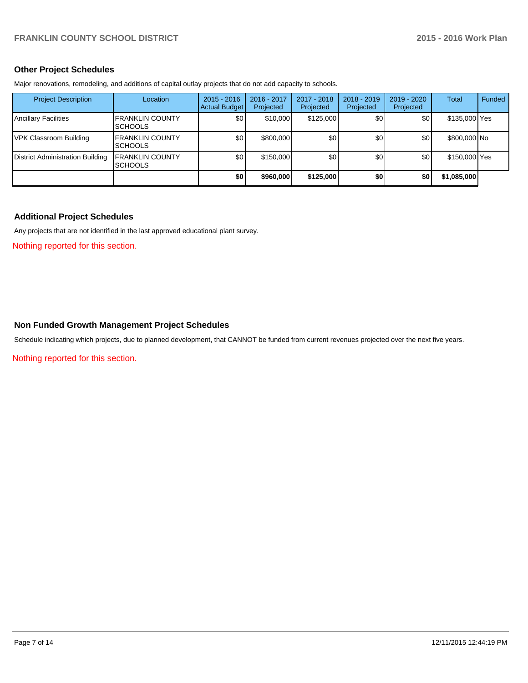### **Other Project Schedules**

Major renovations, remodeling, and additions of capital outlay projects that do not add capacity to schools.

| <b>Project Description</b>       | Location                                   | $2015 - 2016$<br><b>Actual Budget</b> | 2016 - 2017<br>Projected | 2017 - 2018<br>Projected | $2018 - 2019$<br>Projected | $2019 - 2020$<br>Projected | Total         | Funded |
|----------------------------------|--------------------------------------------|---------------------------------------|--------------------------|--------------------------|----------------------------|----------------------------|---------------|--------|
| <b>Ancillary Facilities</b>      | <b>FRANKLIN COUNTY</b><br><b>ISCHOOLS</b>  | \$0                                   | \$10,000                 | \$125,000                | \$0                        | \$0                        | \$135,000 Yes |        |
| <b>IVPK Classroom Building</b>   | <b>IFRANKLIN COUNTY</b><br><b>ISCHOOLS</b> | \$0                                   | \$800,000                | \$0                      | \$0                        | \$0 <sub>1</sub>           | \$800,000 No  |        |
| District Administration Building | <b>FRANKLIN COUNTY</b><br><b>SCHOOLS</b>   | \$0                                   | \$150,000                | \$0                      | \$0                        | \$0                        | \$150,000 Yes |        |
|                                  |                                            | \$0                                   | \$960,000                | \$125,000                | \$0                        | \$0                        | \$1,085,000   |        |

# **Additional Project Schedules**

Any projects that are not identified in the last approved educational plant survey.

Nothing reported for this section.

#### **Non Funded Growth Management Project Schedules**

Schedule indicating which projects, due to planned development, that CANNOT be funded from current revenues projected over the next five years.

Nothing reported for this section.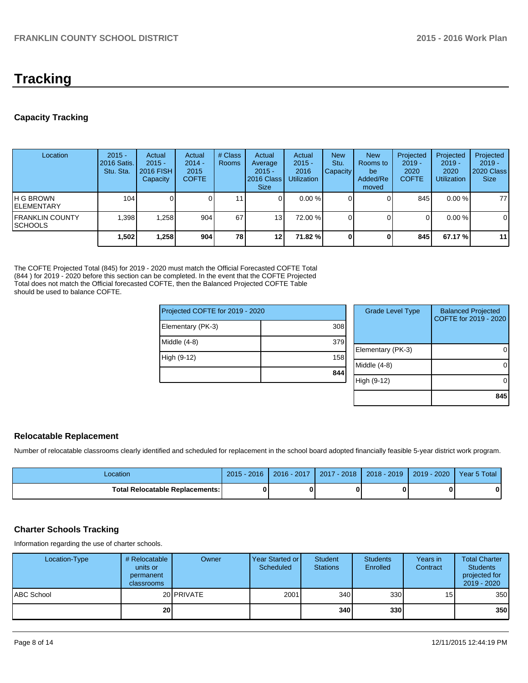# **Tracking**

# **Capacity Tracking**

| Location                                   | $2015 -$<br>2016 Satis.<br>Stu. Sta. | Actual<br>$2015 -$<br><b>2016 FISH</b><br>Capacity | Actual<br>$2014 -$<br>2015<br><b>COFTE</b> | # Class<br><b>Rooms</b> | Actual<br>Average<br>$2015 -$<br>2016 Class<br><b>Size</b> | Actual<br>$2015 -$<br>2016<br><b>Utilization</b> | <b>New</b><br>Stu.<br>Capacity | <b>New</b><br>Rooms to<br>be<br>Added/Re<br>moved | Projected<br>$2019 -$<br>2020<br><b>COFTE</b> | Projected<br>$2019 -$<br>2020<br><b>Utilization</b> | Projected<br>$2019 -$<br>2020 Class<br><b>Size</b> |
|--------------------------------------------|--------------------------------------|----------------------------------------------------|--------------------------------------------|-------------------------|------------------------------------------------------------|--------------------------------------------------|--------------------------------|---------------------------------------------------|-----------------------------------------------|-----------------------------------------------------|----------------------------------------------------|
| IH G BROWN<br><b>IELEMENTARY</b>           | 104                                  |                                                    |                                            | 11                      |                                                            | $0.00\%$                                         |                                |                                                   | 845                                           | $0.00 \%$                                           | 77                                                 |
| <b>IFRANKLIN COUNTY</b><br><b>ISCHOOLS</b> | .398                                 | 1,258                                              | 904                                        | 67                      | 13                                                         | 72.00 %                                          |                                |                                                   | 0                                             | $0.00\%$                                            | 0                                                  |
|                                            | 1,502                                | 1.258                                              | 904                                        | <b>78</b>               | 12 <sub>1</sub>                                            | 71.82 %l                                         |                                |                                                   | 845                                           | 67.17 %                                             | 11                                                 |

The COFTE Projected Total (845) for 2019 - 2020 must match the Official Forecasted COFTE Total (844 ) for 2019 - 2020 before this section can be completed. In the event that the COFTE Projected Total does not match the Official forecasted COFTE, then the Balanced Projected COFTE Table should be used to balance COFTE.

| Projected COFTE for 2019 - 2020 |     | <b>Grade Level Type</b> | <b>Balanced Projected</b><br>COFTE for 2019 - 2020 |
|---------------------------------|-----|-------------------------|----------------------------------------------------|
| Elementary (PK-3)               | 308 |                         |                                                    |
| Middle (4-8)                    | 379 |                         |                                                    |
|                                 |     | Elementary (PK-3)       |                                                    |
| High (9-12)                     | 158 |                         |                                                    |
|                                 |     | Middle (4-8)            |                                                    |
|                                 | 844 |                         |                                                    |
|                                 |     | High (9-12)             |                                                    |
|                                 |     |                         |                                                    |
|                                 |     |                         | 845                                                |

# **Relocatable Replacement**

Number of relocatable classrooms clearly identified and scheduled for replacement in the school board adopted financially feasible 5-year district work program.

| -ocation                          | .2016<br>2015 | 2016 - 2017 | $-2018$<br>2017 | $2018 - 2019$ | 2020<br>$2019 -$ | Year 5 Total |
|-----------------------------------|---------------|-------------|-----------------|---------------|------------------|--------------|
| Total Relocatable Replacements: I | O             |             |                 |               |                  |              |

# **Charter Schools Tracking**

Information regarding the use of charter schools.

| Location-Type     | # Relocatable<br>units or<br>permanent<br>classrooms | Owner              | Year Started or<br>Scheduled | Student<br><b>Stations</b> | <b>Students</b><br>Enrolled | Years in<br>Contract | <b>Total Charter</b><br><b>Students</b><br>projected for<br>2019 - 2020 |
|-------------------|------------------------------------------------------|--------------------|------------------------------|----------------------------|-----------------------------|----------------------|-------------------------------------------------------------------------|
| <b>ABC School</b> |                                                      | 20 <b>IPRIVATE</b> | 2001                         | 340                        | 330                         | 15                   | 350                                                                     |
|                   | 20 <sub>1</sub>                                      |                    |                              | 340                        | 330l                        |                      | 350                                                                     |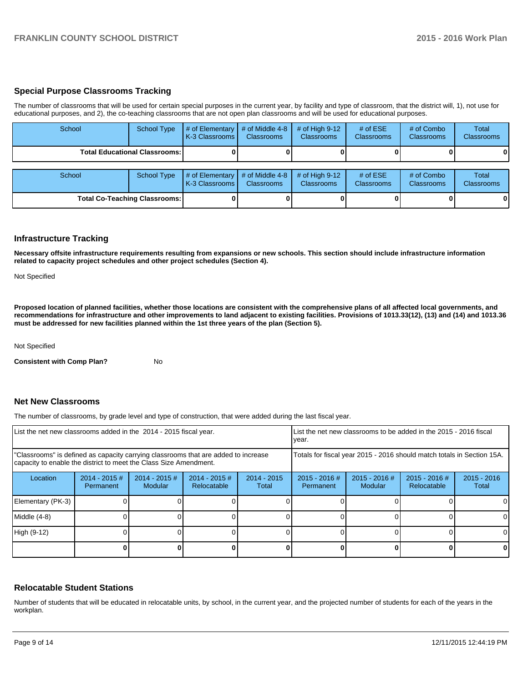# **Special Purpose Classrooms Tracking**

The number of classrooms that will be used for certain special purposes in the current year, by facility and type of classroom, that the district will, 1), not use for educational purposes, and 2), the co-teaching classrooms that are not open plan classrooms and will be used for educational purposes.

| School                               | <b>School Type</b>                     | # of Elementary<br>K-3 Classrooms   | # of Middle 4-8<br><b>Classrooms</b> | # of High $9-12$<br><b>Classrooms</b> | # of $ESE$<br>Classrooms | # of Combo<br><b>Classrooms</b> | Total<br><b>Classrooms</b> |
|--------------------------------------|----------------------------------------|-------------------------------------|--------------------------------------|---------------------------------------|--------------------------|---------------------------------|----------------------------|
|                                      | <b>Total Educational Classrooms: I</b> |                                     |                                      |                                       |                          |                                 | 01                         |
| School                               | <b>School Type</b>                     | # of Elementary<br>K-3 Classrooms I | # of Middle 4-8<br><b>Classrooms</b> | # of High $9-12$<br><b>Classrooms</b> | # of $ESE$<br>Classrooms | # of Combo<br><b>Classrooms</b> | Total<br><b>Classrooms</b> |
| <b>Total Co-Teaching Classrooms:</b> |                                        |                                     |                                      |                                       |                          | 0                               | 01                         |

#### **Infrastructure Tracking**

**Necessary offsite infrastructure requirements resulting from expansions or new schools. This section should include infrastructure information related to capacity project schedules and other project schedules (Section 4).**

Not Specified

**Proposed location of planned facilities, whether those locations are consistent with the comprehensive plans of all affected local governments, and recommendations for infrastructure and other improvements to land adjacent to existing facilities. Provisions of 1013.33(12), (13) and (14) and 1013.36 must be addressed for new facilities planned within the 1st three years of the plan (Section 5).**

Not Specified

**Consistent with Comp Plan?** No

#### **Net New Classrooms**

The number of classrooms, by grade level and type of construction, that were added during the last fiscal year.

| List the net new classrooms added in the 2014 - 2015 fiscal year.                                                                                       |                              |                            |                                 |                        | List the net new classrooms to be added in the 2015 - 2016 fiscal<br>Ivear. |                          |                                |                        |  |
|---------------------------------------------------------------------------------------------------------------------------------------------------------|------------------------------|----------------------------|---------------------------------|------------------------|-----------------------------------------------------------------------------|--------------------------|--------------------------------|------------------------|--|
| "Classrooms" is defined as capacity carrying classrooms that are added to increase<br>capacity to enable the district to meet the Class Size Amendment. |                              |                            |                                 |                        | Totals for fiscal year 2015 - 2016 should match totals in Section 15A.      |                          |                                |                        |  |
| Location                                                                                                                                                | $2014 - 2015$ #<br>Permanent | $2014 - 2015$ #<br>Modular | $2014 - 2015 \#$<br>Relocatable | $2014 - 2015$<br>Total | $2015 - 2016$ #<br>Permanent                                                | 2015 - 2016 #<br>Modular | $2015 - 2016$ #<br>Relocatable | $2015 - 2016$<br>Total |  |
| Elementary (PK-3)                                                                                                                                       |                              |                            |                                 |                        |                                                                             |                          |                                | 0                      |  |
| Middle (4-8)                                                                                                                                            |                              |                            |                                 |                        |                                                                             |                          |                                | $\Omega$               |  |
| High (9-12)                                                                                                                                             |                              |                            |                                 |                        |                                                                             |                          |                                | $\Omega$               |  |
|                                                                                                                                                         |                              |                            |                                 |                        |                                                                             |                          |                                | 0                      |  |

# **Relocatable Student Stations**

Number of students that will be educated in relocatable units, by school, in the current year, and the projected number of students for each of the years in the workplan.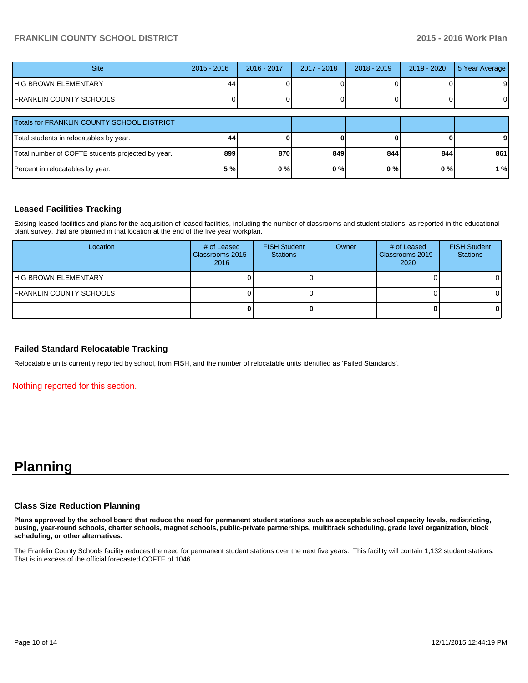# **FRANKLIN COUNTY SCHOOL DISTRICT 2015 - 2016 Work Plan**

| <b>Site</b>                                       | $2015 - 2016$ | 2016 - 2017 | $2017 - 2018$ | $2018 - 2019$ | $2019 - 2020$ | 5 Year Average |
|---------------------------------------------------|---------------|-------------|---------------|---------------|---------------|----------------|
| IH G BROWN ELEMENTARY                             | 44            |             |               |               |               | 91             |
| IFRANKLIN COUNTY SCHOOLS                          |               |             |               |               |               | ΟI             |
| Totals for FRANKLIN COUNTY SCHOOL DISTRICT        |               |             |               |               |               |                |
| Total students in relocatables by year.           | 44            |             |               |               |               |                |
| Total number of COFTE students projected by year. | 899           | 870         | 849           | 844           | 844           | 861            |
| Percent in relocatables by year.                  | 5 %           | 0%          | 0%            | 0%            | 0%            | 1 % l          |

# **Leased Facilities Tracking**

Exising leased facilities and plans for the acquisition of leased facilities, including the number of classrooms and student stations, as reported in the educational plant survey, that are planned in that location at the end of the five year workplan.

| Location                       | # of Leased<br>Classrooms 2015 -<br>2016 | <b>FISH Student</b><br><b>Stations</b> | Owner | # of Leased<br>Classrooms 2019 -<br>2020 | <b>FISH Student</b><br><b>Stations</b> |
|--------------------------------|------------------------------------------|----------------------------------------|-------|------------------------------------------|----------------------------------------|
| <b>IH G BROWN ELEMENTARY</b>   |                                          |                                        |       |                                          |                                        |
| <b>FRANKLIN COUNTY SCHOOLS</b> |                                          |                                        |       |                                          |                                        |
|                                |                                          |                                        |       |                                          |                                        |

# **Failed Standard Relocatable Tracking**

Relocatable units currently reported by school, from FISH, and the number of relocatable units identified as 'Failed Standards'.

Nothing reported for this section.

# **Planning**

#### **Class Size Reduction Planning**

**Plans approved by the school board that reduce the need for permanent student stations such as acceptable school capacity levels, redistricting, busing, year-round schools, charter schools, magnet schools, public-private partnerships, multitrack scheduling, grade level organization, block scheduling, or other alternatives.**

The Franklin County Schools facility reduces the need for permanent student stations over the next five years. This facility will contain 1,132 student stations. That is in excess of the official forecasted COFTE of 1046.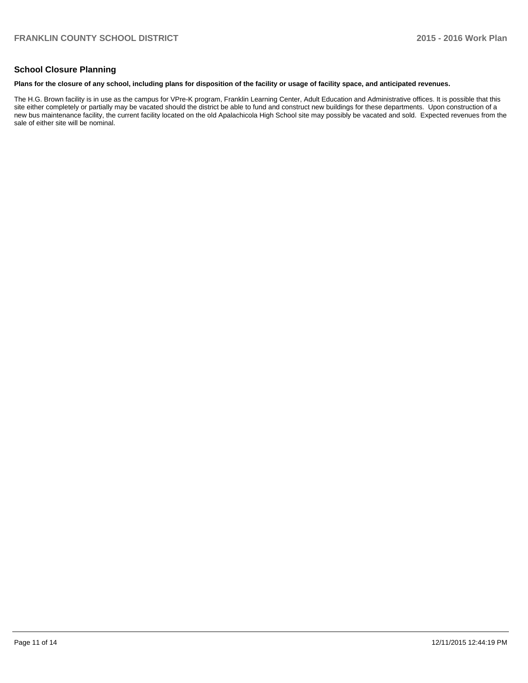# **School Closure Planning**

#### **Plans for the closure of any school, including plans for disposition of the facility or usage of facility space, and anticipated revenues.**

The H.G. Brown facility is in use as the campus for VPre-K program, Franklin Learning Center, Adult Education and Administrative offices. It is possible that this site either completely or partially may be vacated should the district be able to fund and construct new buildings for these departments. Upon construction of a new bus maintenance facility, the current facility located on the old Apalachicola High School site may possibly be vacated and sold. Expected revenues from the sale of either site will be nominal.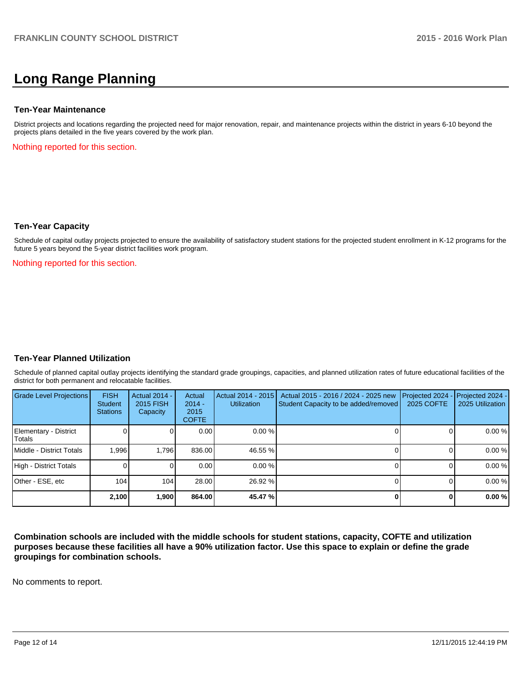# **Long Range Planning**

#### **Ten-Year Maintenance**

District projects and locations regarding the projected need for major renovation, repair, and maintenance projects within the district in years 6-10 beyond the projects plans detailed in the five years covered by the work plan.

Nothing reported for this section.

#### **Ten-Year Capacity**

Schedule of capital outlay projects projected to ensure the availability of satisfactory student stations for the projected student enrollment in K-12 programs for the future 5 years beyond the 5-year district facilities work program.

Nothing reported for this section.

#### **Ten-Year Planned Utilization**

Schedule of planned capital outlay projects identifying the standard grade groupings, capacities, and planned utilization rates of future educational facilities of the district for both permanent and relocatable facilities.

| Grade Level Projections         | <b>FISH</b><br>Student<br><b>Stations</b> | <b>Actual 2014 -</b><br>2015 FISH<br>Capacity | Actual<br>$2014 -$<br>2015<br><b>COFTE</b> | Actual 2014 - 2015<br><b>Utilization</b> | Actual 2015 - 2016 / 2024 - 2025 new<br>Student Capacity to be added/removed | Projected 2024<br>2025 COFTE | Projected 2024 -<br>2025 Utilization |
|---------------------------------|-------------------------------------------|-----------------------------------------------|--------------------------------------------|------------------------------------------|------------------------------------------------------------------------------|------------------------------|--------------------------------------|
| Elementary - District<br>Totals |                                           |                                               | 0.00                                       | $0.00\%$                                 |                                                                              |                              | 0.00%                                |
| Middle - District Totals        | 1.996                                     | 1.796                                         | 836.00                                     | 46.55 %                                  |                                                                              |                              | 0.00 %                               |
| High - District Totals          |                                           |                                               | 0.00                                       | $0.00\%$                                 |                                                                              |                              | 0.00%                                |
| Other - ESE, etc                | 104                                       | 104                                           | 28.00                                      | 26.92 %                                  |                                                                              |                              | 0.00%                                |
|                                 | 2,100                                     | 1,900                                         | 864.00                                     | 45.47 %                                  |                                                                              |                              | 0.00%                                |

**Combination schools are included with the middle schools for student stations, capacity, COFTE and utilization purposes because these facilities all have a 90% utilization factor. Use this space to explain or define the grade groupings for combination schools.**

No comments to report.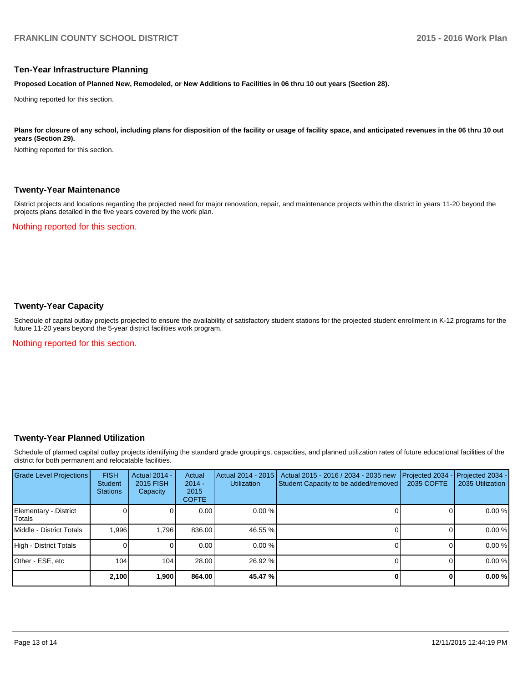#### **Ten-Year Infrastructure Planning**

**Proposed Location of Planned New, Remodeled, or New Additions to Facilities in 06 thru 10 out years (Section 28).**

Nothing reported for this section.

Plans for closure of any school, including plans for disposition of the facility or usage of facility space, and anticipated revenues in the 06 thru 10 out **years (Section 29).**

Nothing reported for this section.

#### **Twenty-Year Maintenance**

District projects and locations regarding the projected need for major renovation, repair, and maintenance projects within the district in years 11-20 beyond the projects plans detailed in the five years covered by the work plan.

Nothing reported for this section.

## **Twenty-Year Capacity**

Schedule of capital outlay projects projected to ensure the availability of satisfactory student stations for the projected student enrollment in K-12 programs for the future 11-20 years beyond the 5-year district facilities work program.

Nothing reported for this section.

#### **Twenty-Year Planned Utilization**

Schedule of planned capital outlay projects identifying the standard grade groupings, capacities, and planned utilization rates of future educational facilities of the district for both permanent and relocatable facilities.

| <b>Grade Level Projections</b>   | <b>FISH</b><br><b>Student</b><br><b>Stations</b> | <b>Actual 2014 -</b><br>2015 FISH<br>Capacity | Actual<br>$2014 -$<br>2015<br><b>COFTE</b> | Actual 2014 - 2015<br><b>Utilization</b> | Actual 2015 - 2016 / 2034 - 2035 new<br>Student Capacity to be added/removed | Projected 2034<br>2035 COFTE | Projected 2034 -<br>2035 Utilization |
|----------------------------------|--------------------------------------------------|-----------------------------------------------|--------------------------------------------|------------------------------------------|------------------------------------------------------------------------------|------------------------------|--------------------------------------|
| Elementary - District<br> Totals |                                                  |                                               | 0.00                                       | $0.00\%$                                 |                                                                              |                              | 0.00%                                |
| Middle - District Totals         | 1.996                                            | 1.796                                         | 836.00                                     | 46.55 %                                  |                                                                              |                              | 0.00%                                |
| High - District Totals           |                                                  |                                               | 0.00                                       | 0.00%                                    |                                                                              |                              | 0.00%                                |
| Other - ESE, etc                 | 104                                              | 104                                           | 28.00                                      | 26.92 %                                  |                                                                              |                              | 0.00%                                |
|                                  | 2,100                                            | 1,900                                         | 864.00                                     | 45.47 %                                  |                                                                              |                              | 0.00%                                |